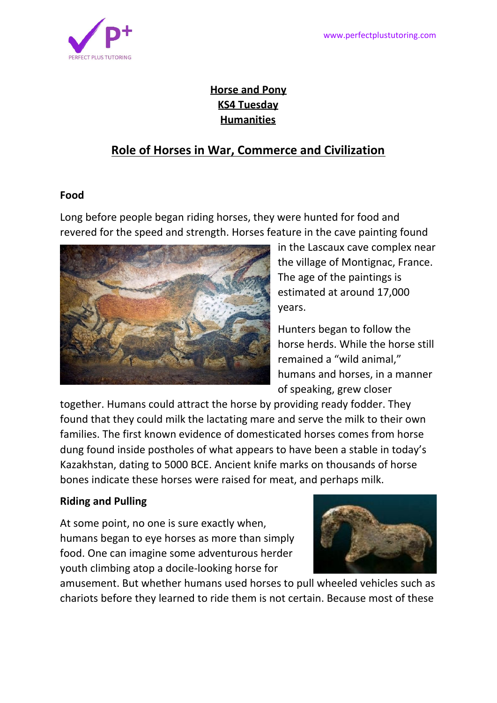

## **Horse and Pony KS4 Tuesday Humanities**

# **Role of Horses in War, Commerce and Civilization**

#### **Food**

Long before people began riding horses, they were hunted for food and revered for the speed and strength. Horses feature in the cave painting found



in the Lascaux cave complex near the village of [Montignac,](https://en.wikipedia.org/wiki/Montignac,_Dordogne) France. The age of the paintings is estimated at around 17,000 years.

Hunters began to follow the horse herds. While the horse still remained a "wild animal," humans and horses, in a manner of speaking, grew closer

together. Humans could attract the horse by providing ready fodder. They found that they could milk the lactating mare and serve the milk to their own families. The first known evidence of domesticated horses comes from horse dung found inside postholes of what appears to have been a stable in today's Kazakhstan, dating to 5000 BCE. Ancient knife marks on thousands of horse bones indicate these horses were raised for meat, and perhaps milk.

## **Riding and Pulling**

At some point, no one is sure exactly when, humans began to eye horses as more than simply food. One can imagine some adventurous herder youth climbing atop a docile-looking horse for



amusement. But whether humans used horses to pull wheeled vehicles such as chariots before they learned to ride them is not certain. Because most of these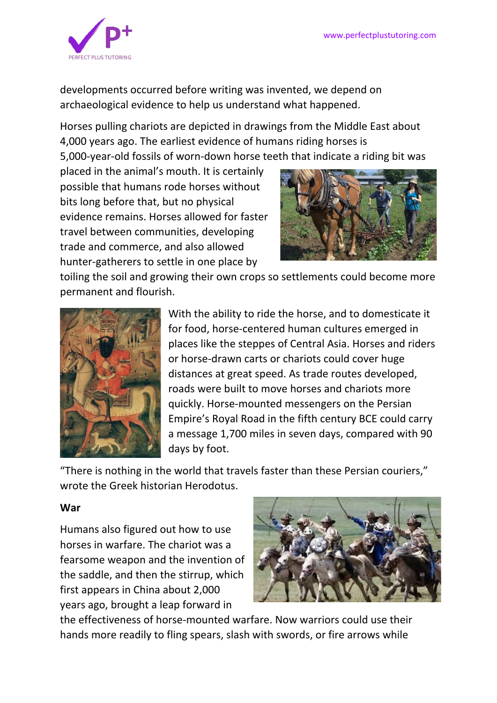

developments occurred before writing was invented, we depend on archaeological evidence to help us understand what happened.

Horses pulling chariots are depicted in drawings from the Middle East about 4,000 years ago. The earliest evidence of humans riding horses is 5,000-year-old fossils of worn-down horse teeth that indicate a riding bit was

placed in the animal's mouth. It is certainly possible that humans rode horses without bits long before that, but no physical evidence remains. Horses allowed for faster travel between communities, developing trade and commerce, and also allowed hunter-gatherers to settle in one place by



toiling the soil and growing their own crops so settlements could become more permanent and flourish.



With the ability to ride the horse, and to domesticate it for food, horse-centered human cultures emerged in places like the steppes of Central Asia. Horses and riders or horse-drawn carts or chariots could cover huge distances at great speed. As trade routes developed, roads were built to move horses and chariots more quickly. Horse-mounted messengers on the Persian Empire's Royal Road in the fifth century BCE could carry a message 1,700 miles in seven days, compared with 90 days by foot.

"There is nothing in the world that travels faster than these Persian couriers," wrote the Greek historian Herodotus.

#### **War**

Humans also figured out how to use horses in warfare. The chariot was a fearsome weapon and the invention of the saddle, and then the stirrup, which first appears in China about 2,000 years ago, brought a leap forward in



the effectiveness of horse-mounted warfare. Now warriors could use their hands more readily to fling spears, slash with swords, or fire arrows while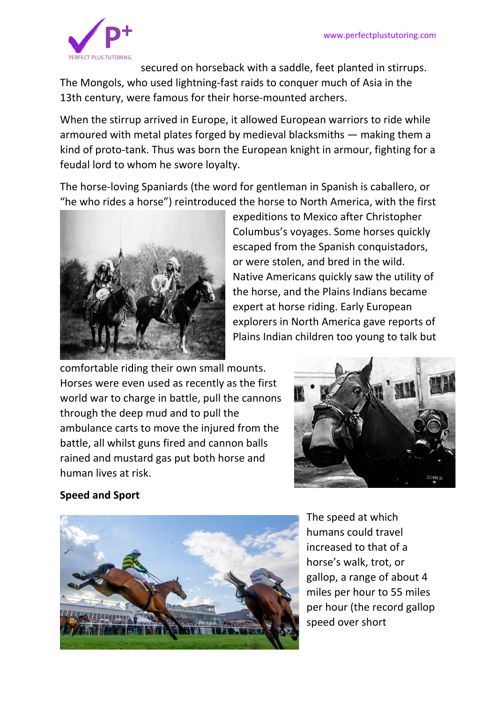

secured on horseback with a saddle, feet planted in stirrups. The Mongols, who used lightning-fast raids to conquer much of Asia in the 13th century, were famous for their horse-mounted archers.

When the stirrup arrived in Europe, it allowed European warriors to ride while armoured with metal plates forged by medieval blacksmiths — making them a kind of proto-tank. Thus was born the European knight in armour, fighting for a feudal lord to whom he swore loyalty.

The horse-loving Spaniards (the word for gentleman in Spanish is caballero, or "he who rides a horse") reintroduced the horse to North America, with the first



expeditions to Mexico after Christopher Columbus's voyages. Some horses quickly escaped from the Spanish conquistadors, or were stolen, and bred in the wild. Native Americans quickly saw the utility of the horse, and the Plains Indians became expert at horse riding. Early European explorers in North America gave reports of Plains Indian children too young to talk but

comfortable riding their own small mounts. Horses were even used as recently as the first world war to charge in battle, pull the cannons through the deep mud and to pull the ambulance carts to move the injured from the battle, all whilst guns fired and cannon balls rained and mustard gas put both horse and human lives at risk.



#### **Speed and Sport**



The speed at which humans could travel increased to that of a horse's walk, trot, or gallop, a range of about 4 miles per hour to 55 miles per hour (the record gallop speed over short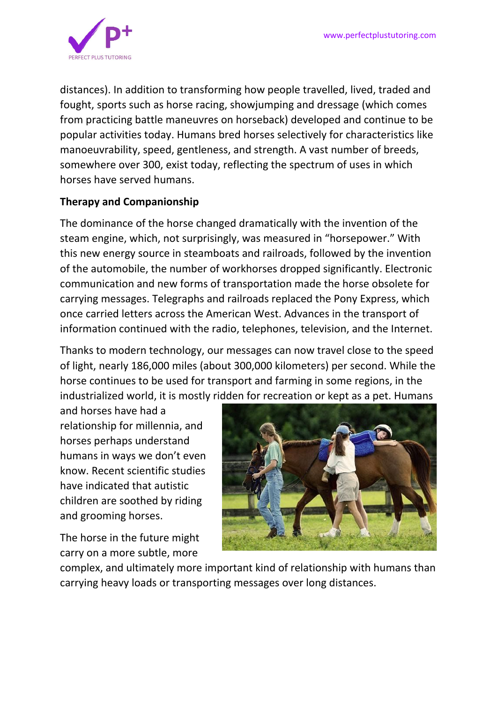

distances). In addition to transforming how people travelled, lived, traded and fought, sports such as horse racing, showjumping and dressage (which comes from practicing battle maneuvres on horseback) developed and continue to be popular activities today. Humans bred horses selectively for characteristics like manoeuvrability, speed, gentleness, and strength. A vast number of breeds, somewhere over 300, exist today, reflecting the spectrum of uses in which horses have served humans.

## **Therapy and Companionship**

The dominance of the horse changed dramatically with the invention of the steam engine, which, not surprisingly, was measured in "horsepower." With this new energy source in steamboats and railroads, followed by the invention of the automobile, the number of workhorses dropped significantly. Electronic communication and new forms of transportation made the horse obsolete for carrying messages. Telegraphs and railroads replaced the Pony Express, which once carried letters across the American West. Advances in the transport of information continued with the radio, telephones, television, and the Internet.

Thanks to modern technology, our messages can now travel close to the speed of light, nearly 186,000 miles (about 300,000 kilometers) per second. While the horse continues to be used for transport and farming in some regions, in the industrialized world, it is mostly ridden for recreation or kept as a pet. Humans

and horses have had a relationship for millennia, and horses perhaps understand humans in ways we don't even know. Recent scientific studies have indicated that autistic children are soothed by riding and grooming horses.

The horse in the future might carry on a more subtle, more



complex, and ultimately more important kind of relationship with humans than carrying heavy loads or transporting messages over long distances.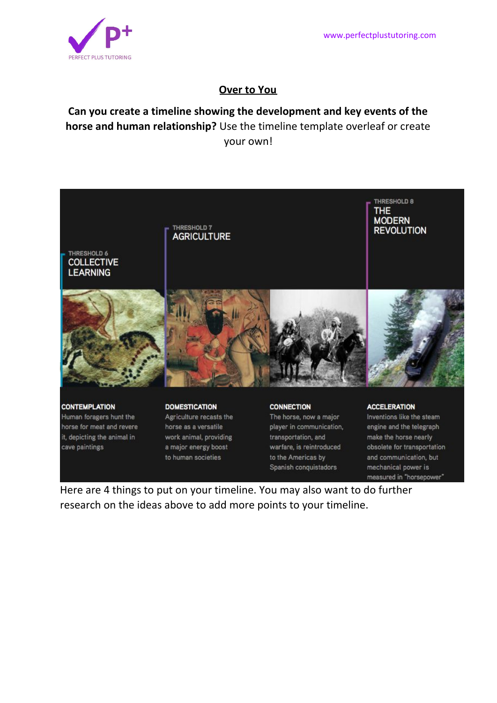measured in "horsepower"



## **Over to You**

# **Can you create a timeline showing the development and key events of the horse and human relationship?** Use the timeline template overleaf or create your own!



Here are 4 things to put on your timeline. You may also want to do further research on the ideas above to add more points to your timeline.